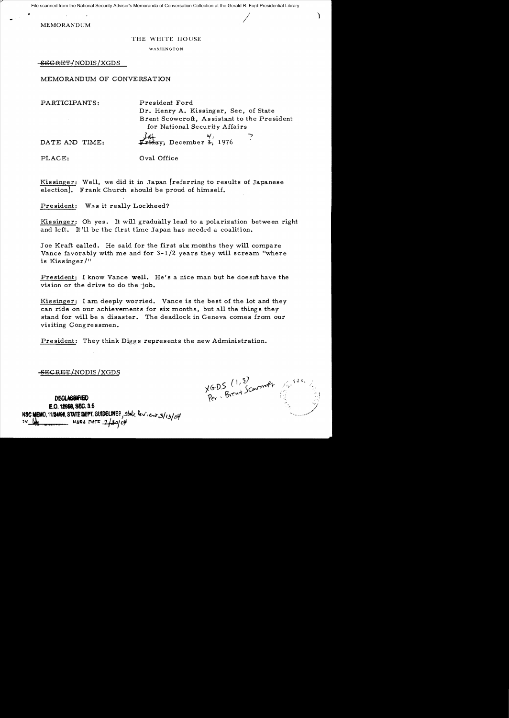File scanned from the National Security Adviser's Memoranda of Conversation Collection at the Gerald R. Ford Presidential Library

 $\blacksquare$ MEMORANDUM

## THE WHITE HOUSE

WASHINGTON

SECRET/NODIS *IXGDS* 

MEMORANDUM OF CONVERSATION

PARTICIPANTS: President Ford

Dr. Henry A. Kissinger, Sec, of State Brent Scowcroft, As sistant to the President for National Security Affairs  $f$   $\frac{1}{4}$ ,  $\frac{4}{1}$ 

DATE AND TIME:  $\mathbf{F} \cdot \mathbf{H}$  December 3, 1976

PLACE:  $Oval$  Oral Office

Kissinger: Well, we did it in Japan [referring to results of Japanese election]. Frank Church should be proud of himself.

President: Was it really Lockheed?

Kis singer: Oh *yes.* It will gradually lead to a polarization between right and left. It'll be the first time Japan has needed a coalition.

Joe Kraft called. He said for the first six months they will compare Vance favorably with me and for *3-1/2 years* they will scream "where is Kissinger $/$ "

President: I know Vance well. He's a nice man but he doesn't have the vision or the drive to do the -job.

Kis singer: I am deeply worried. Vance is the best of the lot and they can ride on our achievements for six months, but all the things they stand for will be a disaster. The deadlock in Geneva comes from our visiting Congressmen.

President: They think Diggs represents the new Administration.

SEC RET /NODIS *IXGDS* 

DECLAS&IFIED E.O. 12958, SEC. 3.5 N**SC MEMO, 11/24/98, STATE DEPT. GUIDELINES**, state deviews/13/04<br>"Weblate MARA DATE 1/30/04

XGDS (1,3)<br>Per: Brent Scarontt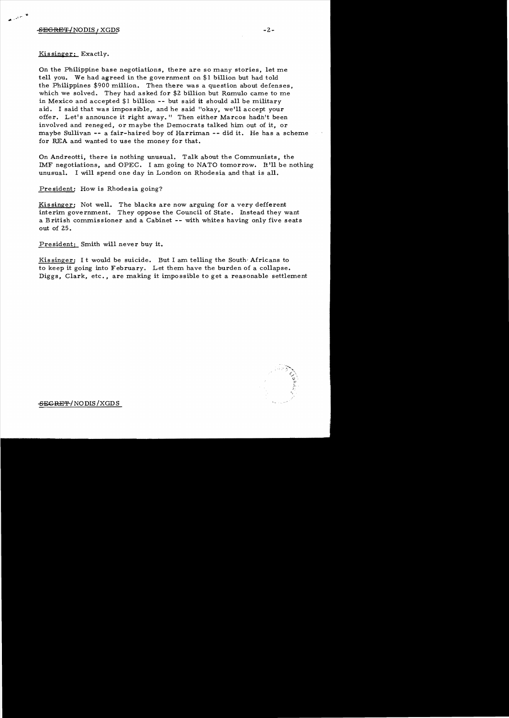يهن سويد والعد

Kissinger: Exactly.

On the Philippine base negotiations, there are so many stories, let me tell you. We had agreed in the government on \$1 billion but had told the Philippines \$900 million. Then there was a question about defenses, which we solved. They had asked for \$2 billion but Ramulo came to me in Mexico and accepted \$1 billion **--** but said it should all be military aid. I said that was impossible, and he said "okay, we'll accept your offer. Let's announce it right away." Then either Marcos hadh't been involved and reneged, or maybe the Democrats talked him out of it, or maybe Sullivan -- a fair-haired boy of Harriman **--** did it. He has a scheme for REA and wanted to use the money for that.

On Andreotti, there is nothing unusual. Talk about the Communists, the IMF negotiations, and OPEC. I am going to NATO tomorrow. It'll be nothing unusual. I will spend one day in London on Rhodesia and that is all.

President: How is Rhodesia going?

Kissinger: Not well. The blacks are now arguing for a very defferent interim government. They oppose the Council of State. Instead they want a British commissioner and a Cabinet -- with whites having only five seats out of 25.

President: Smith will never buy it.

Kis singer: It would be suicide. But I am telling the South Africans to to keep it going into February. Let them have the burden of a collapse. Diggs, Clark, etc., are making it impossible to get a reasonable settlement



~CRE'F/NODIS/XGDS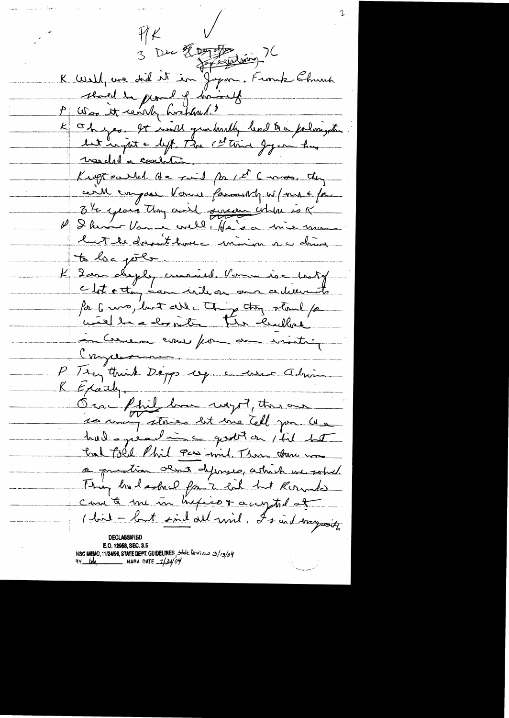$4K$ 3 Dec 2 Juin 76 K Well, we did it in Joyan. Finish Shink. served de pland of him 1.8 P Was it cent forthand." K Oh jes. It mill qualitat lend to a forlangeten<br>Let unité byt The Channel Joyen has veedel a contri Knoftcalled. He said for 1st Cross. they cert impact Vous family w/me + fr 34 years Any voirt genrementale is K luit de doublik house minima au dans to loc pole K 2 avec desploy curried. Verne is chaty clot octon éau vide ou au certierants for 6 ma, but alle Ching tout per inCerneux comes from de visite Congression P Try think Deggs ey. a user admin  $K$  Exaintly. On fhil hom wegot, there are had queline good on this both had told Phil Pcs wind Than there was a prestice about defenses, which we solved Thing had asked for 2 lot but Kounde can to me in hyperox accepted of (bil - but sind all will, I said mysesity DECI ARSIFIR **E.O. 19958, SEC. 3.5** NSC MEMO, 11/24/98, STATE DEPT. GUIDELINES, State Deview 3/13/04 NARA DATE  $-1/24/04$ 9Y MA